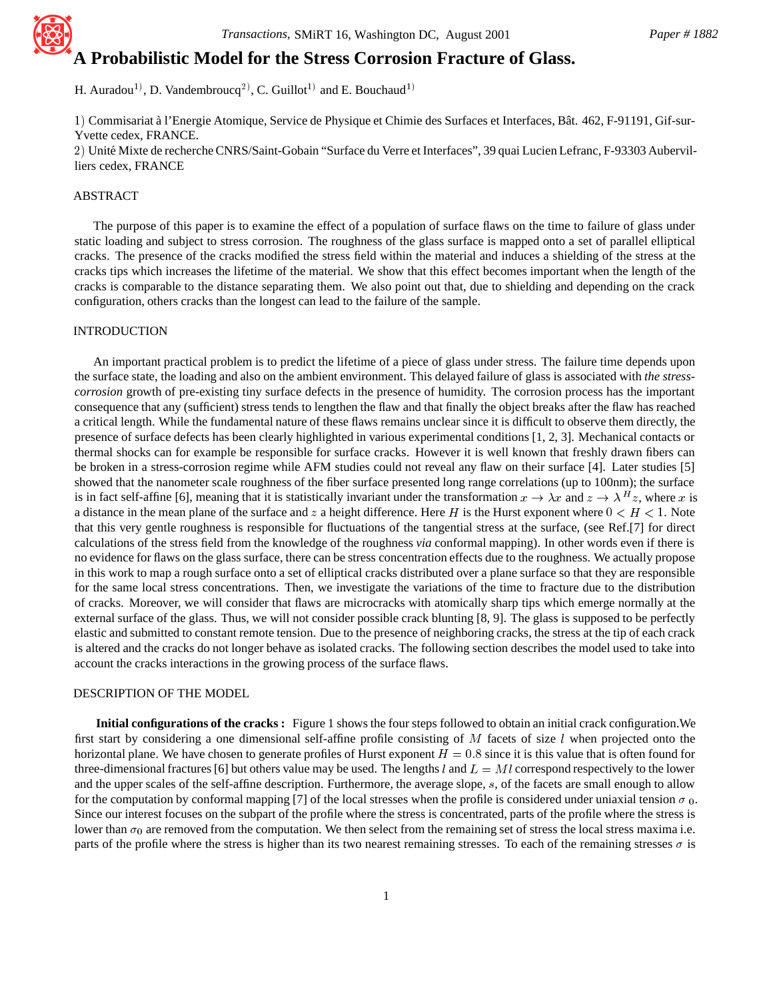# **A Probabilistic Model for the Stress Corrosion Fracture of Glass.**

H. Auradou<sup>1)</sup>, D. Vandembroucq<sup>2)</sup>, C. Guillot<sup>1)</sup> and E. Bouchaud<sup>1)</sup>

1) Commisariat à l'Energie Atomique, Service de Physique et Chimie des Surfaces et Interfaces, Bât. 462, F-91191, Gif-sur-Yvette cedex, FRANCE.

2) Unité Mixte de recherche CNRS/Saint-Gobain "Surface du Verre et Interfaces", 39 quai Lucien Lefranc, F-93303 Aubervilliers cedex, FRANCE

## ABSTRACT

The purpose of this paper is to examine the effect of a population of surface flaws on the time to failure of glass under static loading and subject to stress corrosion. The roughness of the glass surface is mapped onto a set of parallel elliptical cracks. The presence of the cracks modified the stress field within the material and induces a shielding of the stress at the cracks tips which increases the lifetime of the material. We show that this effect becomes important when the length of the cracks is comparable to the distance separating them. We also point out that, due to shielding and depending on the crack configuration, others cracks than the longest can lead to the failure of the sample.

#### INTRODUCTION

An important practical problem is to predict the lifetime of a piece of glass under stress. The failure time depends upon the surface state, the loading and also on the ambient environment. This delayed failure of glass is associated with *the stresscorrosion* growth of pre-existing tiny surface defects in the presence of humidity. The corrosion process has the important consequence that any (sufficient) stress tends to lengthen the flaw and that finally the object breaks after the flaw has reached a critical length. While the fundamental nature of these flaws remains unclear since it is difficult to observe them directly, the presence of surface defects has been clearly highlighted in various experimental conditions [1, 2, 3]. Mechanical contacts or thermal shocks can for example be responsible for surface cracks. However it is well known that freshly drawn fibers can be broken in a stress-corrosion regime while AFM studies could not reveal any flaw on their surface [4]. Later studies [5] showed that the nanometer scale roughness of the fiber surface presented long range correlations (up to 100nm); the surface is in fact self-affine [6], meaning that it is statistically invariant under the transformation  $x \to \lambda x$  and  $z \to \lambda^H z$ , where x is a distance in the mean plane of the surface and z a height difference. Here H is the Hurst exponent where  $0 < H < 1$ . Note that this very gentle roughness is responsible for fluctuations of the tangential stress at the surface, (see Ref.[7] for direct calculations of the stress field from the knowledge of the roughness *via* conformal mapping). In other words even if there is no evidence for flaws on the glass surface, there can be stress concentration effects due to the roughness. We actually propose in this work to map a rough surface onto a set of elliptical cracks distributed over a plane surface so that they are responsible for the same local stress concentrations. Then, we investigate the variations of the time to fracture due to the distribution of cracks. Moreover, we will consider that flaws are microcracks with atomically sharp tips which emerge normally at the external surface of the glass. Thus, we will not consider possible crack blunting [8, 9]. The glass is supposed to be perfectly elastic and submitted to constant remote tension. Due to the presence of neighboring cracks, the stress at the tip of each crack is altered and the cracks do not longer behave as isolated cracks. The following section describes the model used to take into account the cracks interactions in the growing process of the surface flaws.

### DESCRIPTION OF THE MODEL

**Initial configurations of the cracks :** Figure 1 shows the four steps followed to obtain an initial crack configuration.We first start by considering a one dimensional self-affine profile consisting of  $M$  facets of size  $l$  when projected onto the horizontal plane. We have chosen to generate profiles of Hurst exponent  $H = 0.8$  since it is this value that is often found for three-dimensional fractures [6] but others value may be used. The lengths l and  $L = Ml$  correspond respectively to the lower and the upper scales of the self-affine description. Furthermore, the average slope, <sup>s</sup>, of the facets are small enough to allow for the computation by conformal mapping [7] of the local stresses when the profile is considered under uniaxial tension  $\sigma_0$ . Since our interest focuses on the subpart of the profile where the stress is concentrated, parts of the profile where the stress is lower than  $\sigma_0$  are removed from the computation. We then select from the remaining set of stress the local stress maxima i.e. parts of the profile where the stress is higher than its two nearest remaining stresses. To each of the remaining stresses  $\sigma$  is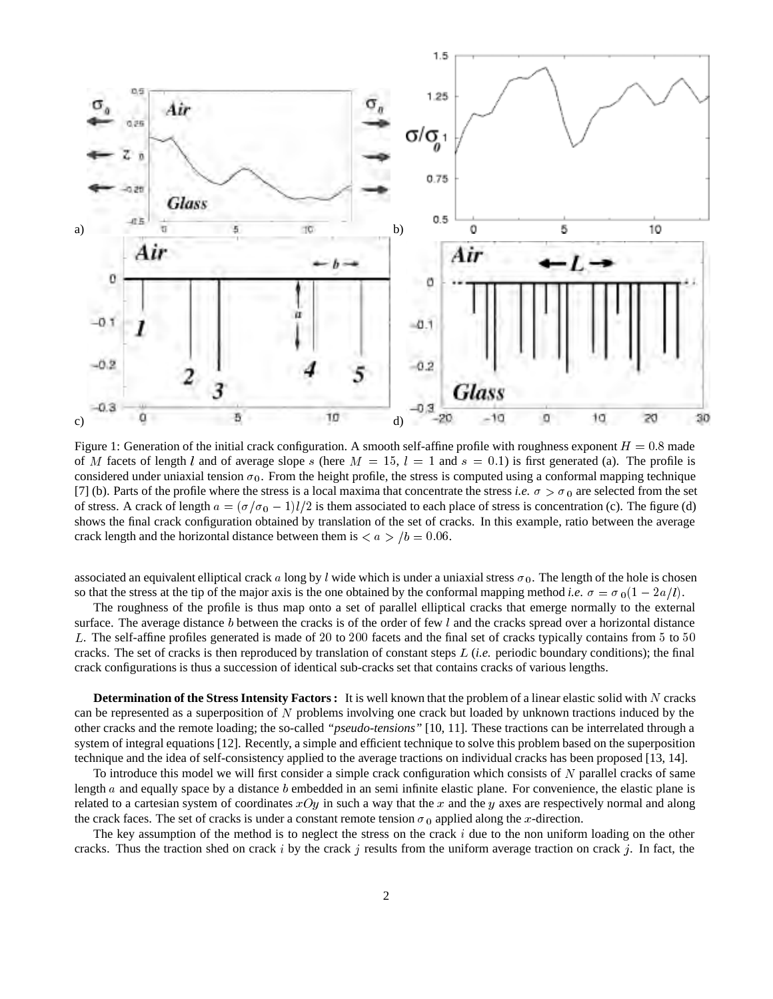

Figure 1: Generation of the initial crack configuration. A smooth self-affine profile with roughness exponent  $H = 0.8$  made of M facets of length l and of average slope s (here  $M = 15$ ,  $l = 1$  and  $s = 0.1$ ) is first generated (a). The profile is considered under uniaxial tension  $\sigma_0$ . From the height profile, the stress is computed using a conformal mapping technique [7] (b). Parts of the profile where the stress is a local maxima that concentrate the stress *i.e.*  $\sigma > \sigma_0$  are selected from the set of stress. A crack of length  $a = (\sigma/\sigma_0 - 1)l/2$  is them associated to each place of stress is concentration (c). The figure (d) shows the final crack configuration obtained by translation of the set of cracks. In this example, ratio between the average crack length and the horizontal distance between them is  $\langle a \rangle / b = 0.06$ .

associated an equivalent elliptical crack a long by l wide which is under a uniaxial stress  $\sigma_0$ . The length of the hole is chosen so that the stress at the tip of the major axis is the one obtained by the conformal mapping method *i.e.*  $\sigma = \sigma_0(1 - 2a/l)$ .

The roughness of the profile is thus map onto a set of parallel elliptical cracks that emerge normally to the external surface. The average distance b between the cracks is of the order of few l and the cracks spread over a horizontal distance <sup>L</sup>. The self-affine profiles generated is made of <sup>20</sup> to <sup>200</sup> facets and the final set of cracks typically contains from <sup>5</sup> to <sup>50</sup> cracks. The set of cracks is then reproduced by translation of constant steps <sup>L</sup> (*i.e.* periodic boundary conditions); the final crack configurations is thus a succession of identical sub-cracks set that contains cracks of various lengths.

**Determination of the Stress Intensity Factors :** It is well known that the problem of a linear elastic solid with N cracks can be represented as a superposition of <sup>N</sup> problems involving one crack but loaded by unknown tractions induced by the other cracks and the remote loading; the so-called *"pseudo-tensions"* [10, 11]. These tractions can be interrelated through a system of integral equations [12]. Recently, a simple and efficient technique to solve this problem based on the superposition technique and the idea of self-consistency applied to the average tractions on individual cracks has been proposed [13, 14].

To introduce this model we will first consider a simple crack configuration which consists of  $N$  parallel cracks of same length a and equally space by a distance b embedded in an semi-infinite elastic plane. For convenience, the elastic plane is related to a cartesian system of coordinates  $xOy$  in such a way that the x and the y axes are respectively normal and along the crack faces. The set of cracks is under a constant remote tension  $\sigma_0$  applied along the x-direction.

The key assumption of the method is to neglect the stress on the crack  $i$  due to the non uniform loading on the other cracks. Thus the traction shed on crack i by the crack j results from the uniform average traction on crack j. In fact, the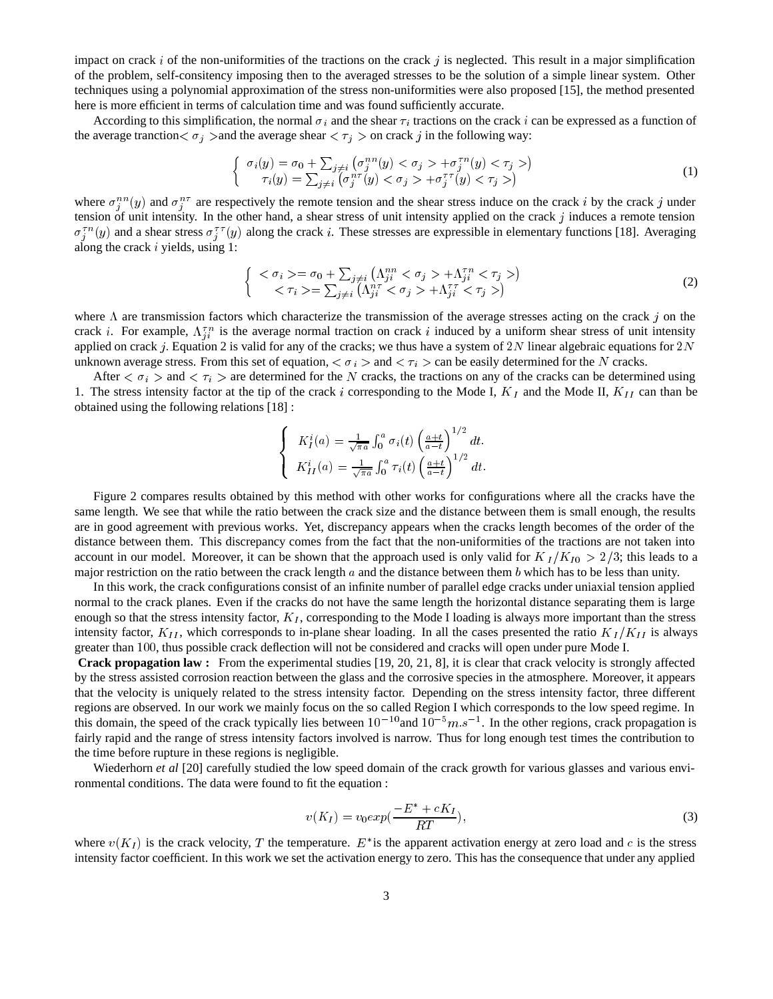impact on crack i of the non-uniformities of the tractions on the crack j is neglected. This result in a major simplification of the problem, self-consitency imposing then to the averaged stresses to be the solution of a simple linear system. Other techniques using a polynomial approximation of the stress non-uniformities were also proposed [15], the method presented here is more efficient in terms of calculation time and was found sufficiently accurate.

According to this simplification, the normal  $\sigma_i$  and the shear  $\tau_i$  tractions on the crack i can be expressed as a function of the average tranction  $\sigma_j$  > and the average shear  $\sigma_j$  > on crack j in the following way:

$$
\begin{cases}\n\sigma_i(y) = \sigma_0 + \sum_{j \neq i} \left( \sigma_j^{nn}(y) < \sigma_j > +\sigma_j^{rn}(y) < \tau_j > \right) \\
\tau_i(y) = \sum_{j \neq i} \left( \sigma_j^{nr}(y) < \sigma_j > +\sigma_j^{rr}(y) < \tau_j > \right)\n\end{cases} \tag{1}
$$

where  $\sigma_i^{nn}(y)$  and  $\sigma_i^{nr}$  are respectively the remote tension and the shear stress induce on the crack i by the crack j under tension of unit intensity. In the other hand, a shear stress of unit intensity applied on the crack  $j$  induces a remote tension  $\sigma_i^{\tau n}(y)$  and a shear stress  $\sigma_i^{\tau \tau}(y)$  along the crack i. These stresses are expressible in elementary functions [18]. Averaging along the crack  $i$  yields, using 1:

$$
\begin{cases} < \sigma_i \ge = \sigma_0 + \sum_{j \neq i} \left( \Lambda_{ji}^{nn} < \sigma_j > + \Lambda_{ji}^{rn} < \tau_j \ge \right) \\ < \tau_i \ge = \sum_{j \neq i} \left( \Lambda_{ji}^{nr} < \sigma_j > + \Lambda_{ji}^{rn} < \tau_j \ge \right) \end{cases} \tag{2}
$$

where  $\Lambda$  are transmission factors which characterize the transmission of the average stresses acting on the crack j on the crack *i*. For example,  $\Lambda_{ii}^{\tau n}$  is the average normal traction on crack *i* induced by a uniform shear stress of unit intensity applied on crack j. Equation 2 is valid for any of the cracks; we thus have a system of 2N linear algebraic equations for 2N unknown average stress. From this set of equation,  $\langle \sigma_i \rangle$  and  $\langle \tau_i \rangle$  can be easily determined for the N cracks.

After  $\langle \sigma_i \rangle$  and  $\langle \tau_i \rangle$  are determined for the N cracks, the tractions on any of the cracks can be determined using 1. The stress intensity factor at the tip of the crack i corresponding to the Mode I,  $K_I$  and the Mode II,  $K_{II}$  can than be obtained using the following relations [18] :

$$
\begin{cases}\nK_I^i(a) = \frac{1}{\sqrt{\pi a}} \int_0^a \sigma_i(t) \left(\frac{a+t}{a-t}\right)^{1/2} dt. \\
K_{II}^i(a) = \frac{1}{\sqrt{\pi a}} \int_0^a \tau_i(t) \left(\frac{a+t}{a-t}\right)^{1/2} dt.\n\end{cases}
$$

Figure 2 compares results obtained by this method with other works for configurations where all the cracks have the same length. We see that while the ratio between the crack size and the distance between them is small enough, the results are in good agreement with previous works. Yet, discrepancy appears when the cracks length becomes of the order of the distance between them. This discrepancy comes from the fact that the non-uniformities of the tractions are not taken into account in our model. Moreover, it can be shown that the approach used is only valid for  $K_I/K_{I0} > 2/3$ ; this leads to a major restriction on the ratio between the crack length  $a$  and the distance between them  $b$  which has to be less than unity.

In this work, the crack configurations consist of an infinite number of parallel edge cracks under uniaxial tension applied normal to the crack planes. Even if the cracks do not have the same length the horizontal distance separating them is large enough so that the stress intensity factor,  $K_I$ , corresponding to the Mode I loading is always more important than the stress intensity factor,  $K_{II}$ , which corresponds to in-plane shear loading. In all the cases presented the ratio  $K_I/K_{II}$  is always greater than <sup>100</sup>, thus possible crack deflection will not be considered and cracks will open under pure Mode I.

**Crack propagation law :** From the experimental studies [19, 20, 21, 8], it is clear that crack velocity is strongly affected by the stress assisted corrosion reaction between the glass and the corrosive species in the atmosphere. Moreover, it appears that the velocity is uniquely related to the stress intensity factor. Depending on the stress intensity factor, three different regions are observed. In our work we mainly focus on the so called Region I which corresponds to the low speed regime. In this domain, the speed of the crack typically lies between  $10^{-10}$  and  $10^{-5}m$ .  $s^{-1}$ . In the other regions, crack propagation is fairly rapid and the range of stress intensity factors involved is narrow. Thus for long enough test times the contribution to the time before rupture in these regions is negligible.

Wiederhorn *et al* [20] carefully studied the low speed domain of the crack growth for various glasses and various environmental conditions. The data were found to fit the equation :

$$
v(K_I) = v_0 exp(\frac{-E^* + cK_I}{RT}),\tag{3}
$$

where  $v(K_I)$  is the crack velocity, T the temperature.  $E^*$  is the apparent activation energy at zero load and c is the stress intensity factor coefficient. In this work we set the activation energy to zero. This has the consequence that under any applied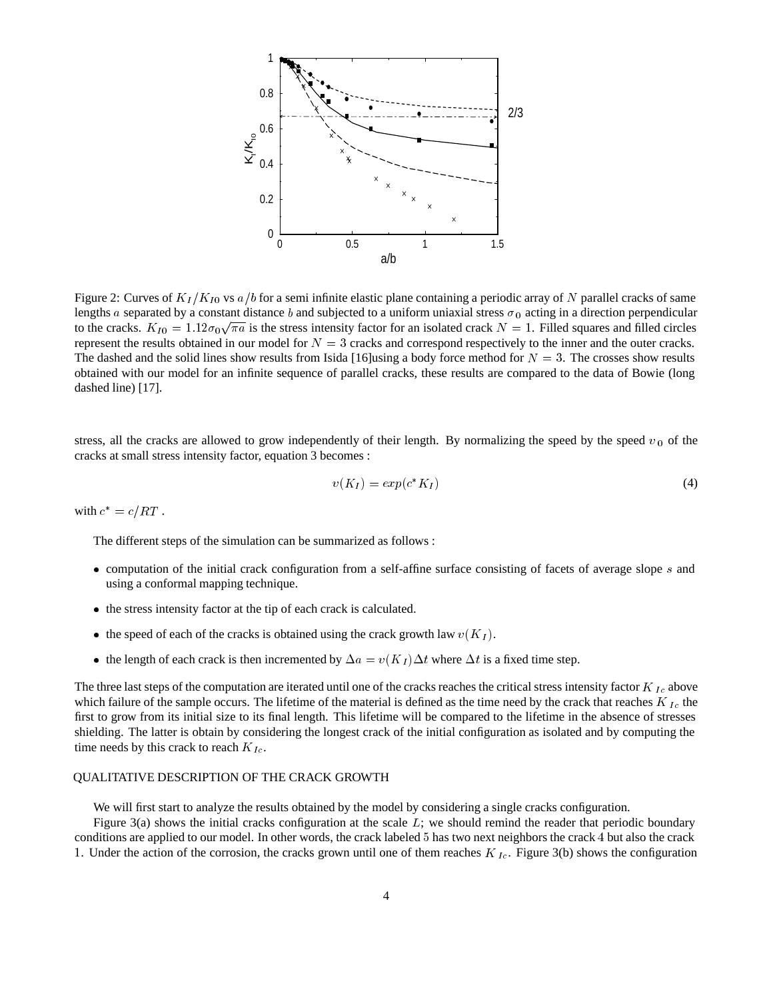

Figure 2: Curves of  $K_I/K_{I0}$  vs  $a/b$  for a semi infinite elastic plane containing a periodic array of N parallel cracks of same lengths a separated by a constant distance b and subjected to a uniform uniaxial stress  $\sigma_0$  acting in a direction perpendicular to the cracks.  $K_{I0} = 1.12\sigma_0\sqrt{\pi a}$  is the stress intensity factor for an isolated crack  $N = 1$ . Filled squares and filled circles represent the results obtained in our model for  $N = 3$  cracks and correspond respectively to the inner and the outer cracks. The dashed and the solid lines show results from Isida [16]using a body force method for  $N = 3$ . The crosses show results obtained with our model for an infinite sequence of parallel cracks, these results are compared to the data of Bowie (long dashed line) [17].

stress, all the cracks are allowed to grow independently of their length. By normalizing the speed by the speed  $v_0$  of the cracks at small stress intensity factor, equation 3 becomes :

$$
v(K_I) = exp(c^*K_I) \tag{4}
$$

with  $c^* = c/RT$  .

The different steps of the simulation can be summarized as follows :

- computation of the initial crack configuration from a self-affine surface consisting of facets of average slope <sup>s</sup> and using a conformal mapping technique.
- $\bullet$  the stress intensity factor at the tip of each crack is calculated.
- the speed of each of the cracks is obtained using the crack growth law  $v(K_I)$ .
- the length of each crack is then incremented by  $\Delta a = v(K_I) \Delta t$  where  $\Delta t$  is a fixed time step.

The three last steps of the computation are iterated until one of the cracks reaches the critical stress intensity factor  $K_{Ic}$  above which failure of the sample occurs. The lifetime of the material is defined as the time need by the crack that reaches  $K_{Ic}$  the first to grow from its initial size to its final length. This lifetime will be compared to the lifetime in the absence of stresses shielding. The latter is obtain by considering the longest crack of the initial configuration as isolated and by computing the time needs by this crack to reach  $K_{Ic}$ .

#### QUALITATIVE DESCRIPTION OF THE CRACK GROWTH

We will first start to analyze the results obtained by the model by considering a single cracks configuration.

Figure 3(a) shows the initial cracks configuration at the scale  $L$ ; we should remind the reader that periodic boundary conditions are applied to our model. In other words, the crack labeled <sup>5</sup> has two next neighbors the crack <sup>4</sup> but also the crack 1. Under the action of the corrosion, the cracks grown until one of them reaches  $K_{Ic}$ . Figure 3(b) shows the configuration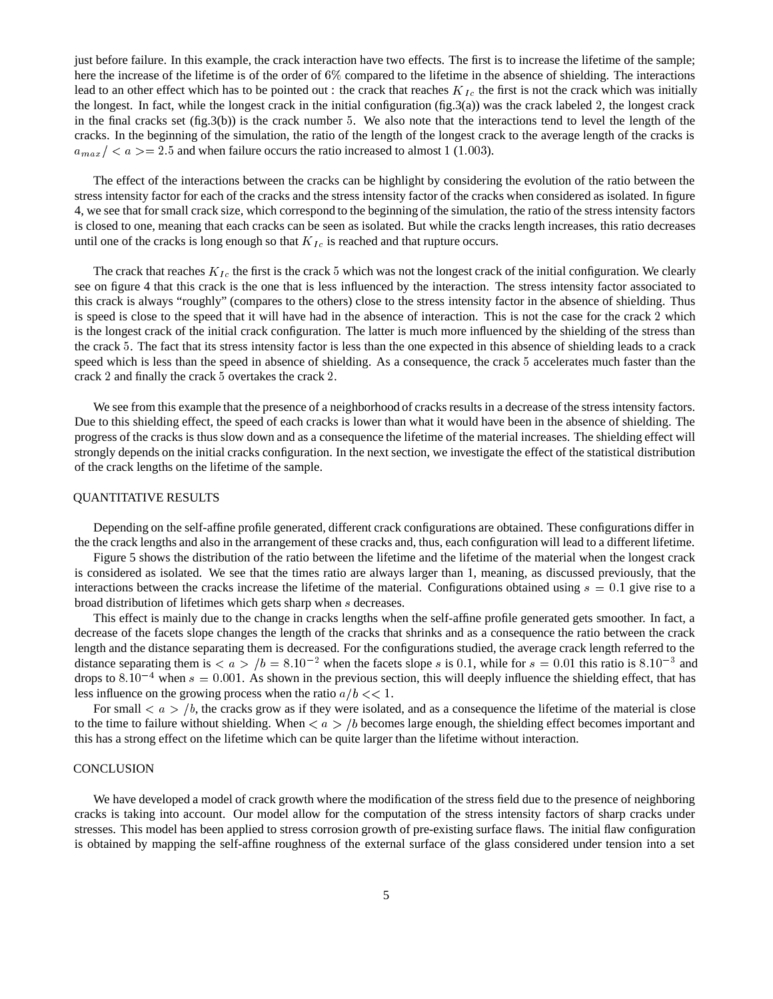just before failure. In this example, the crack interaction have two effects. The first is to increase the lifetime of the sample; here the increase of the lifetime is of the order of 6% compared to the lifetime in the absence of shielding. The interactions lead to an other effect which has to be pointed out : the crack that reaches  $K_{Ic}$  the first is not the crack which was initially the longest. In fact, while the longest crack in the initial configuration (fig.3(a)) was the crack labeled 2, the longest crack in the final cracks set  $(f_1g.3(b))$  is the crack number 5. We also note that the interactions tend to level the length of the cracks. In the beginning of the simulation, the ratio of the length of the longest crack to the average length of the cracks is  $a_{max}$  / < a > = 2.5 and when failure occurs the ratio increased to almost 1 (1.003).

The effect of the interactions between the cracks can be highlight by considering the evolution of the ratio between the stress intensity factor for each of the cracks and the stress intensity factor of the cracks when considered as isolated. In figure 4, we see that for small crack size, which correspond to the beginning of the simulation, the ratio of the stress intensity factors is closed to one, meaning that each cracks can be seen as isolated. But while the cracks length increases, this ratio decreases until one of the cracks is long enough so that  $K_{Ic}$  is reached and that rupture occurs.

The crack that reaches  $K_{Ic}$  the first is the crack 5 which was not the longest crack of the initial configuration. We clearly see on figure 4 that this crack is the one that is less influenced by the interaction. The stress intensity factor associated to this crack is always "roughly" (compares to the others) close to the stress intensity factor in the absence of shielding. Thus is speed is close to the speed that it will have had in the absence of interaction. This is not the case for the crack <sup>2</sup> which is the longest crack of the initial crack configuration. The latter is much more influenced by the shielding of the stress than the crack <sup>5</sup>. The fact that its stress intensity factor is less than the one expected in this absence of shielding leads to a crack speed which is less than the speed in absence of shielding. As a consequence, the crack <sup>5</sup> accelerates much faster than the crack <sup>2</sup> and finally the crack <sup>5</sup> overtakes the crack <sup>2</sup>.

We see from this example that the presence of a neighborhood of cracks results in a decrease of the stress intensity factors. Due to this shielding effect, the speed of each cracks is lower than what it would have been in the absence of shielding. The progress of the cracks is thus slow down and as a consequence the lifetime of the material increases. The shielding effect will strongly depends on the initial cracks configuration. In the next section, we investigate the effect of the statistical distribution of the crack lengths on the lifetime of the sample.

#### QUANTITATIVE RESULTS

Depending on the self-affine profile generated, different crack configurations are obtained. These configurations differ in the the crack lengths and also in the arrangement of these cracks and, thus, each configuration will lead to a different lifetime.

Figure 5 shows the distribution of the ratio between the lifetime and the lifetime of the material when the longest crack is considered as isolated. We see that the times ratio are always larger than <sup>1</sup>, meaning, as discussed previously, that the interactions between the cracks increase the lifetime of the material. Configurations obtained using  $s = 0.1$  give rise to a broad distribution of lifetimes which gets sharp when <sup>s</sup> decreases.

This effect is mainly due to the change in cracks lengths when the self-affine profile generated gets smoother. In fact, a decrease of the facets slope changes the length of the cracks that shrinks and as a consequence the ratio between the crack length and the distance separating them is decreased. For the configurations studied, the average crack length referred to the distance separating them is  $\langle a \rangle / b = 8.10^{-2}$  when the facets slope s is 0.1, while for  $s = 0.01$  this ratio is 8.10<sup>-3</sup> and drops to  $8.10^{-4}$  when  $s = 0.001$ . As shown in the previous section, this will deeply influence the shielding effect, that has less influence on the growing process when the ratio  $a/b \ll 1$ .

For small  $\langle a \rangle$  /b, the cracks grow as if they were isolated, and as a consequence the lifetime of the material is close to the time to failure without shielding. When  $\langle a \rangle / b$  becomes large enough, the shielding effect becomes important and this has a strong effect on the lifetime which can be quite larger than the lifetime without interaction.

#### **CONCLUSION**

We have developed a model of crack growth where the modification of the stress field due to the presence of neighboring cracks is taking into account. Our model allow for the computation of the stress intensity factors of sharp cracks under stresses. This model has been applied to stress corrosion growth of pre-existing surface flaws. The initial flaw configuration is obtained by mapping the self-affine roughness of the external surface of the glass considered under tension into a set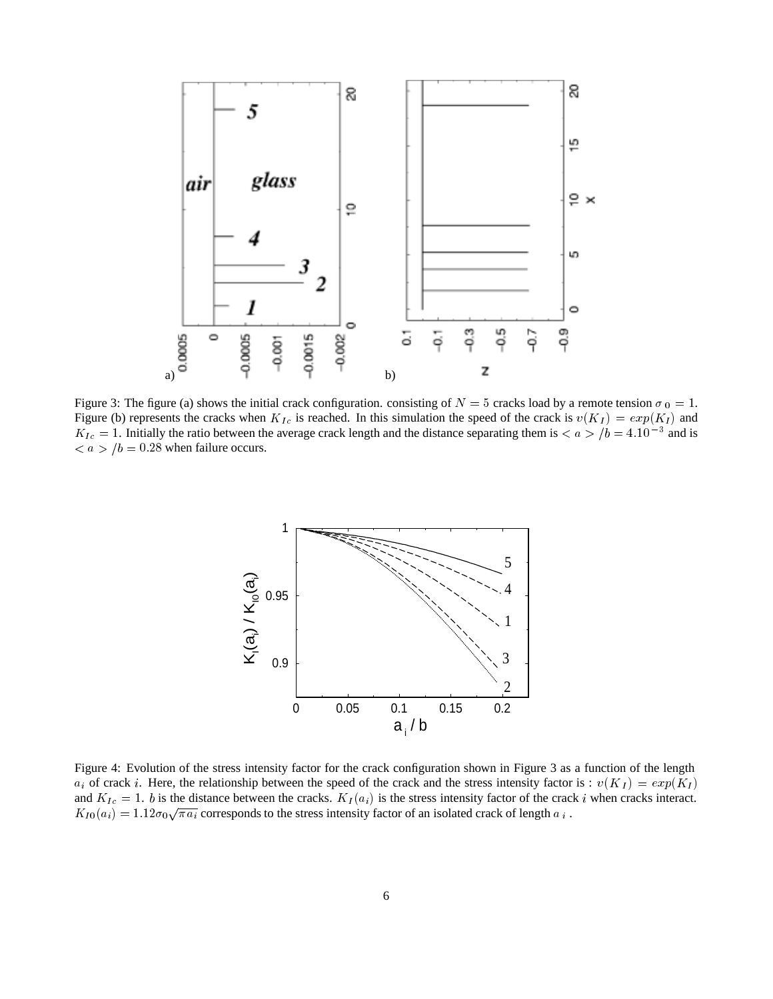

Figure 3: The figure (a) shows the initial crack configuration. consisting of  $N = 5$  cracks load by a remote tension  $\sigma_0 = 1$ . Figure (b) represents the cracks when  $K_{Ic}$  is reached. In this simulation the speed of the crack is  $v(K_I) = exp(K_I)$  and  $K_{Ic} = 1$ . Initially the ratio between the average crack length and the distance separating them is  $\lt a > b = 4.10^{-3}$  and is  $\langle a \rangle / b = 0.28$  when failure occurs.



Figure 4: Evolution of the stress intensity factor for the crack configuration shown in Figure 3 as a function of the length  $a_i$  of crack i. Here, the relationship between the speed of the crack and the stress intensity factor is :  $v(K_I) = exp(K_I)$ and  $K_{Ic} = 1$ . b is the distance between the cracks.  $K_I(a_i)$  is the stress intensity factor of the crack i when cracks interact.  $K_{I0}(a_i)=1.12\sigma_0\sqrt{\pi a_i}$  corresponds to the stress intensity factor of an isolated crack of length  $a_i$ .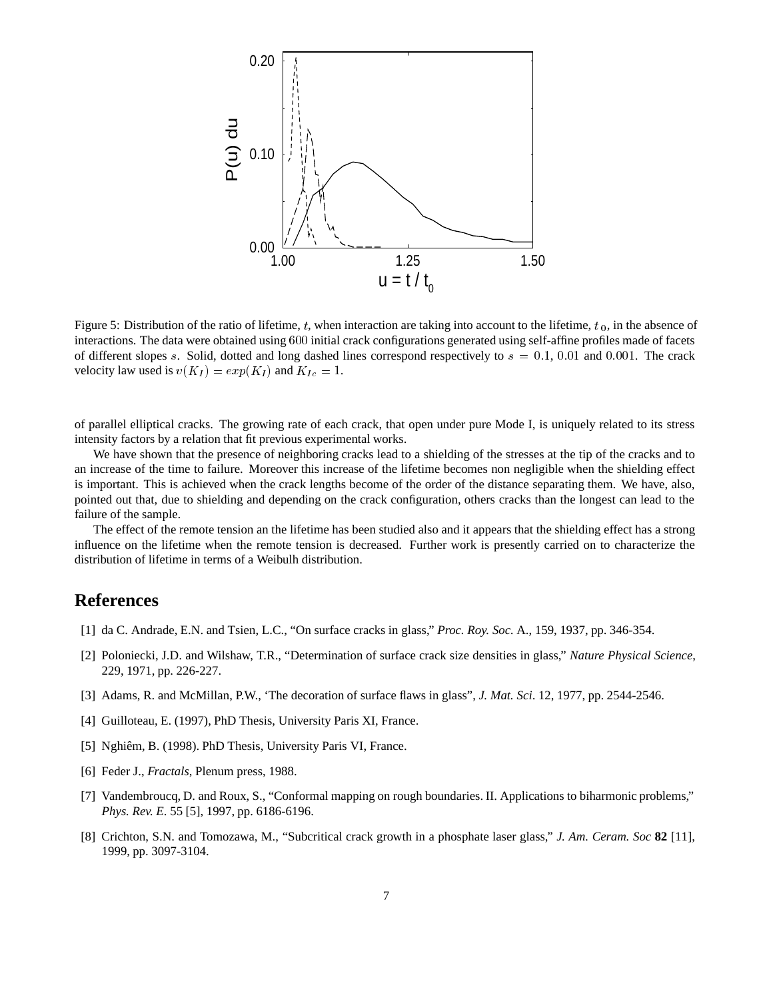

Figure 5: Distribution of the ratio of lifetime, t, when interaction are taking into account to the lifetime,  $t_0$ , in the absence of interactions. The data were obtained using <sup>600</sup> initial crack configurations generated using self-affine profiles made of facets of different slopes s. Solid, dotted and long dashed lines correspond respectively to  $s = 0.1$ , 0.01 and 0.001. The crack velocity law used is  $v(K_I) = exp(K_I)$  and  $K_{Ic} = 1$ .

of parallel elliptical cracks. The growing rate of each crack, that open under pure Mode I, is uniquely related to its stress intensity factors by a relation that fit previous experimental works.

We have shown that the presence of neighboring cracks lead to a shielding of the stresses at the tip of the cracks and to an increase of the time to failure. Moreover this increase of the lifetime becomes non negligible when the shielding effect is important. This is achieved when the crack lengths become of the order of the distance separating them. We have, also, pointed out that, due to shielding and depending on the crack configuration, others cracks than the longest can lead to the failure of the sample.

The effect of the remote tension an the lifetime has been studied also and it appears that the shielding effect has a strong influence on the lifetime when the remote tension is decreased. Further work is presently carried on to characterize the distribution of lifetime in terms of a Weibulh distribution.

# **References**

- [1] da C. Andrade, E.N. and Tsien, L.C., "On surface cracks in glass," *Proc. Roy. Soc.* A., 159, 1937, pp. 346-354.
- [2] Poloniecki, J.D. and Wilshaw, T.R., "Determination of surface crack size densities in glass," *Nature Physical Science*, 229, 1971, pp. 226-227.
- [3] Adams, R. and McMillan, P.W., 'The decoration of surface flaws in glass", *J. Mat. Sci*. 12, 1977, pp. 2544-2546.
- [4] Guilloteau, E. (1997), PhD Thesis, University Paris XI, France.
- [5] Nghiêm, B. (1998). PhD Thesis, University Paris VI, France.
- [6] Feder J., *Fractals*, Plenum press, 1988.
- [7] Vandembroucq, D. and Roux, S., "Conformal mapping on rough boundaries. II. Applications to biharmonic problems," *Phys. Rev. E*. 55 [5], 1997, pp. 6186-6196.
- [8] Crichton, S.N. and Tomozawa, M., "Subcritical crack growth in a phosphate laser glass," *J. Am. Ceram. Soc* **82** [11], 1999, pp. 3097-3104.